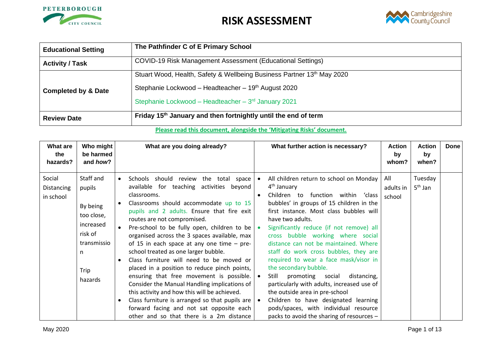



| <b>Educational Setting</b>     | The Pathfinder C of E Primary School                                       |
|--------------------------------|----------------------------------------------------------------------------|
| <b>Activity / Task</b>         | COVID-19 Risk Management Assessment (Educational Settings)                 |
|                                | Stuart Wood, Health, Safety & Wellbeing Business Partner 13th May 2020     |
| <b>Completed by &amp; Date</b> | Stephanie Lockwood - Headteacher - 19th August 2020                        |
|                                | Stephanie Lockwood - Headteacher - 3rd January 2021                        |
| <b>Review Date</b>             | Friday 15 <sup>th</sup> January and then fortnightly until the end of term |

#### **Please read this document, alongside the 'Mitigating Risks' document.**

| What are<br>the<br>hazards?       | Who might<br>be harmed<br>and how?                                                                           | What are you doing already?                                                                                                                                                                                                                                                                                                                                                                                                                                                                                                                                                                                                                                                                                                                                                                                                      | What further action is necessary?                                                                                                                                                                                                                                                                                                                                                                                                                                                                                                                                                                                                                                                                                  | <b>Action</b><br>by<br>whom? | <b>Action</b><br>by<br>when? | <b>Done</b> |
|-----------------------------------|--------------------------------------------------------------------------------------------------------------|----------------------------------------------------------------------------------------------------------------------------------------------------------------------------------------------------------------------------------------------------------------------------------------------------------------------------------------------------------------------------------------------------------------------------------------------------------------------------------------------------------------------------------------------------------------------------------------------------------------------------------------------------------------------------------------------------------------------------------------------------------------------------------------------------------------------------------|--------------------------------------------------------------------------------------------------------------------------------------------------------------------------------------------------------------------------------------------------------------------------------------------------------------------------------------------------------------------------------------------------------------------------------------------------------------------------------------------------------------------------------------------------------------------------------------------------------------------------------------------------------------------------------------------------------------------|------------------------------|------------------------------|-------------|
| Social<br>Distancing<br>in school | Staff and<br>pupils<br>By being<br>too close,<br>increased<br>risk of<br>transmissio<br>n<br>Trip<br>hazards | Schools should review the total space<br>available for teaching activities beyond<br>classrooms.<br>Classrooms should accommodate up to 15<br>pupils and 2 adults. Ensure that fire exit<br>routes are not compromised.<br>Pre-school to be fully open, children to be $\bullet$<br>organised across the 3 spaces available, max<br>of 15 in each space at any one time $-$ pre-<br>school treated as one larger bubble.<br>Class furniture will need to be moved or<br>placed in a position to reduce pinch points,<br>ensuring that free movement is possible. $\bullet$<br>Consider the Manual Handling implications of<br>this activity and how this will be achieved.<br>Class furniture is arranged so that pupils are $  \bullet$<br>forward facing and not sat opposite each<br>other and so that there is a 2m distance | All children return to school on Monday<br>4 <sup>th</sup> January<br>Children to function within 'class<br>bubbles' in groups of 15 children in the<br>first instance. Most class bubbles will<br>have two adults.<br>Significantly reduce (if not remove) all<br>cross bubble working where social<br>distance can not be maintained. Where<br>staff do work cross bubbles, they are<br>required to wear a face mask/visor in<br>the secondary bubble.<br>Still<br>promoting social<br>distancing,<br>particularly with adults, increased use of<br>the outside area in pre-school<br>Children to have designated learning<br>pods/spaces, with individual resource<br>packs to avoid the sharing of resources - | All<br>adults in<br>school   | Tuesday<br>$5th$ Jan         |             |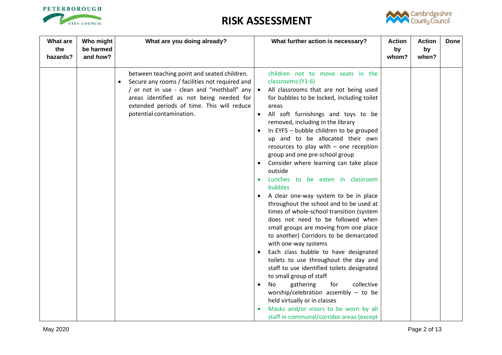



| What are<br>the<br>hazards? | Who might<br>be harmed<br>and how? | What are you doing already?                                                                                                                                                                                                                                           | What further action is necessary?                                                                                                                                                                                                                                                                                                                                                                                                                                                                                                                                                                                                                                                                                                                                                                                                                                                                                                                                                                                                                                                                                                                                                                        | <b>Action</b><br>by<br>whom? | <b>Action</b><br>by<br>when? | <b>Done</b> |
|-----------------------------|------------------------------------|-----------------------------------------------------------------------------------------------------------------------------------------------------------------------------------------------------------------------------------------------------------------------|----------------------------------------------------------------------------------------------------------------------------------------------------------------------------------------------------------------------------------------------------------------------------------------------------------------------------------------------------------------------------------------------------------------------------------------------------------------------------------------------------------------------------------------------------------------------------------------------------------------------------------------------------------------------------------------------------------------------------------------------------------------------------------------------------------------------------------------------------------------------------------------------------------------------------------------------------------------------------------------------------------------------------------------------------------------------------------------------------------------------------------------------------------------------------------------------------------|------------------------------|------------------------------|-------------|
|                             |                                    | between teaching point and seated children.<br>Secure any rooms / facilities not required and<br>/ or not in use - clean and "mothball" any   •<br>areas identified as not being needed for<br>extended periods of time. This will reduce<br>potential contamination. | children not to move seats in the<br>classrooms (Y1-6)<br>All classrooms that are not being used<br>for bubbles to be locked, including toilet<br>areas<br>All soft furnishings and toys to be<br>removed, including in the library<br>In EYFS - bubble children to be grouped<br>up and to be allocated their own<br>resources to play with - one reception<br>group and one pre-school group<br>Consider where learning can take place<br>$\bullet$<br>outside<br>Lunches to be eaten in classroom<br>$\bullet$<br>bubbles<br>A clear one-way system to be in place<br>throughout the school and to be used at<br>times of whole-school transition (system<br>does not need to be followed when<br>small groups are moving from one place<br>to another) Corridors to be demarcated<br>with one-way systems<br>Each class bubble to have designated<br>toilets to use throughout the day and<br>staff to use identified toilets designated<br>to small group of staff<br>collective<br>gathering<br>for<br>No<br>$\bullet$<br>worship/celebration assembly $-$ to be<br>held virtually or in classes<br>Masks and/or visors to be worn by all<br>$\bullet$<br>staff in communal/corridor areas (except |                              |                              |             |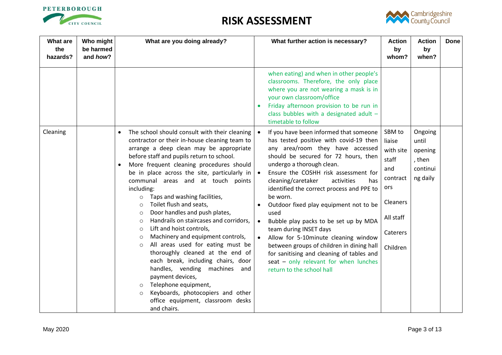



| <b>What are</b><br>the<br>hazards? | Who might<br>be harmed<br>and how? | What are you doing already?                                                                                                                                                                                                                                                                                                                                                                                                                                                                                                                                                                                                                                                                                                                                                                                                                                                                                                                                                  | What further action is necessary?                                                                                                                                                                                                                                                                                                                                                                                                                                                                                                                                                                                                                                               | <b>Action</b><br>by<br>whom?                                                                                      | <b>Action</b><br>by<br>when?                                  | <b>Done</b> |
|------------------------------------|------------------------------------|------------------------------------------------------------------------------------------------------------------------------------------------------------------------------------------------------------------------------------------------------------------------------------------------------------------------------------------------------------------------------------------------------------------------------------------------------------------------------------------------------------------------------------------------------------------------------------------------------------------------------------------------------------------------------------------------------------------------------------------------------------------------------------------------------------------------------------------------------------------------------------------------------------------------------------------------------------------------------|---------------------------------------------------------------------------------------------------------------------------------------------------------------------------------------------------------------------------------------------------------------------------------------------------------------------------------------------------------------------------------------------------------------------------------------------------------------------------------------------------------------------------------------------------------------------------------------------------------------------------------------------------------------------------------|-------------------------------------------------------------------------------------------------------------------|---------------------------------------------------------------|-------------|
|                                    |                                    |                                                                                                                                                                                                                                                                                                                                                                                                                                                                                                                                                                                                                                                                                                                                                                                                                                                                                                                                                                              | when eating) and when in other people's<br>classrooms. Therefore, the only place<br>where you are not wearing a mask is in<br>your own classroom/office<br>Friday afternoon provision to be run in<br>$\bullet$<br>class bubbles with a designated adult -<br>timetable to follow                                                                                                                                                                                                                                                                                                                                                                                               |                                                                                                                   |                                                               |             |
| Cleaning                           |                                    | The school should consult with their cleaning<br>$\bullet$<br>contractor or their in-house cleaning team to<br>arrange a deep clean may be appropriate<br>before staff and pupils return to school.<br>More frequent cleaning procedures should<br>$\bullet$<br>be in place across the site, particularly in $\bullet$<br>communal areas and at touch points<br>including:<br>Taps and washing facilities,<br>$\circ$<br>Toilet flush and seats,<br>$\circ$<br>Door handles and push plates,<br>$\circ$<br>Handrails on staircases and corridors,<br>$\circ$<br>Lift and hoist controls,<br>$\circ$<br>Machinery and equipment controls,<br>$\circ$<br>All areas used for eating must be<br>$\circ$<br>thoroughly cleaned at the end of<br>each break, including chairs, door<br>handles, vending machines<br>and<br>payment devices,<br>Telephone equipment,<br>$\circ$<br>Keyboards, photocopiers and other<br>$\circ$<br>office equipment, classroom desks<br>and chairs. | If you have been informed that someone<br>has tested positive with covid-19 then<br>any area/room they have accessed<br>should be secured for 72 hours, then<br>undergo a thorough clean.<br>Ensure the COSHH risk assessment for<br>cleaning/caretaker<br>activities<br>has<br>identified the correct process and PPE to<br>be worn.<br>Outdoor fixed play equipment not to be<br>used<br>Bubble play packs to be set up by MDA<br>$\bullet$<br>team during INSET days<br>Allow for 5-10minute cleaning window<br>between groups of children in dining hall<br>for sanitising and cleaning of tables and<br>seat - only relevant for when lunches<br>return to the school hall | SBM to<br>liaise<br>with site<br>staff<br>and<br>contract<br>ors<br>Cleaners<br>All staff<br>Caterers<br>Children | Ongoing<br>until<br>opening<br>, then<br>continui<br>ng daily |             |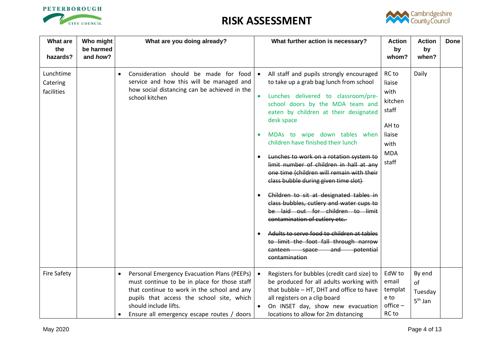



| What are<br>the<br>hazards?         | Who might<br>be harmed<br>and how? | What are you doing already?                                                                                                                                                                                                                                    | What further action is necessary?                                                                                                                                                                                                                                                                                                                                                                                                                                                                                                                                                                                                                                                                                                                                                                                  | <b>Action</b><br>by<br>whom?                                                                  | <b>Action</b><br>by<br>when?         | <b>Done</b> |
|-------------------------------------|------------------------------------|----------------------------------------------------------------------------------------------------------------------------------------------------------------------------------------------------------------------------------------------------------------|--------------------------------------------------------------------------------------------------------------------------------------------------------------------------------------------------------------------------------------------------------------------------------------------------------------------------------------------------------------------------------------------------------------------------------------------------------------------------------------------------------------------------------------------------------------------------------------------------------------------------------------------------------------------------------------------------------------------------------------------------------------------------------------------------------------------|-----------------------------------------------------------------------------------------------|--------------------------------------|-------------|
| Lunchtime<br>Catering<br>facilities |                                    | Consideration should be made for food<br>service and how this will be managed and<br>how social distancing can be achieved in the<br>school kitchen                                                                                                            | All staff and pupils strongly encouraged<br>to take up a grab bag lunch from school<br>Lunches delivered to classroom/pre-<br>$\bullet$<br>school doors by the MDA team and<br>eaten by children at their designated<br>desk space<br>MDAs to wipe down tables when<br>children have finished their lunch<br>Lunches to work on a rotation system to<br>limit number of children in hall at any<br>one time (children will remain with their<br>class bubble during given time slot)<br>Children to sit at designated tables in<br>$\bullet$<br>class bubbles, cutlery and water cups to<br>be laid out for children to limit<br>contamination of cutlery etc.<br>Adults to serve food to children at tables<br>$\bullet$<br>to limit the foot fall through narrow<br>canteen space and potential<br>contamination | RC to<br>liaise<br>with<br>kitchen<br>staff<br>AH to<br>liaise<br>with<br><b>MDA</b><br>staff | Daily                                |             |
| <b>Fire Safety</b>                  |                                    | Personal Emergency Evacuation Plans (PEEPs)<br>must continue to be in place for those staff<br>that continue to work in the school and any<br>pupils that access the school site, which<br>should include lifts.<br>Ensure all emergency escape routes / doors | Registers for bubbles (credit card size) to<br>be produced for all adults working with<br>that bubble - HT, DHT and office to have<br>all registers on a clip board<br>On INSET day, show new evacuation<br>locations to allow for 2m distancing                                                                                                                                                                                                                                                                                                                                                                                                                                                                                                                                                                   | EdW to<br>email<br>templat<br>e to<br>office-<br>RC to                                        | By end<br>of<br>Tuesday<br>$5th$ Jan |             |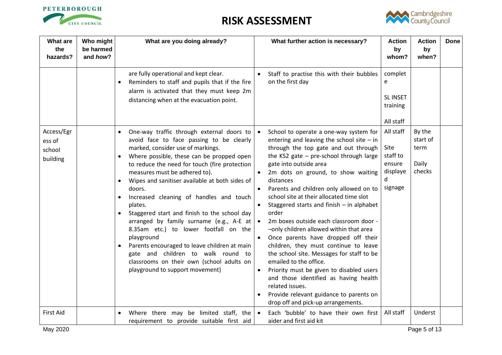



| <b>What are</b><br>the<br>hazards?         | Who might<br>be harmed<br>and how? | What are you doing already?                                                                                                                                                                                                                                                                                                                                                                                                                                                                                                                                                                                                                                                                                                 | What further action is necessary?                                                                                                                                                                                                                                                                                                                                                                                                                                                                                                                                                                                                                                                                                                                                                                                                                    | <b>Action</b><br>by<br>whom?                                        | <b>Action</b><br>by<br>when?                  | <b>Done</b> |
|--------------------------------------------|------------------------------------|-----------------------------------------------------------------------------------------------------------------------------------------------------------------------------------------------------------------------------------------------------------------------------------------------------------------------------------------------------------------------------------------------------------------------------------------------------------------------------------------------------------------------------------------------------------------------------------------------------------------------------------------------------------------------------------------------------------------------------|------------------------------------------------------------------------------------------------------------------------------------------------------------------------------------------------------------------------------------------------------------------------------------------------------------------------------------------------------------------------------------------------------------------------------------------------------------------------------------------------------------------------------------------------------------------------------------------------------------------------------------------------------------------------------------------------------------------------------------------------------------------------------------------------------------------------------------------------------|---------------------------------------------------------------------|-----------------------------------------------|-------------|
|                                            |                                    | are fully operational and kept clear.<br>Reminders to staff and pupils that if the fire<br>alarm is activated that they must keep 2m<br>distancing when at the evacuation point.                                                                                                                                                                                                                                                                                                                                                                                                                                                                                                                                            | Staff to practise this with their bubbles<br>on the first day                                                                                                                                                                                                                                                                                                                                                                                                                                                                                                                                                                                                                                                                                                                                                                                        | complet<br>e<br><b>SLINSET</b><br>training<br>All staff             |                                               |             |
| Access/Egr<br>ess of<br>school<br>building |                                    | One-way traffic through external doors to<br>$\bullet$<br>avoid face to face passing to be clearly<br>marked, consider use of markings.<br>Where possible, these can be propped open<br>to reduce the need for touch (fire protection<br>measures must be adhered to).<br>Wipes and sanitiser available at both sides of<br>doors.<br>Increased cleaning of handles and touch<br>plates.<br>Staggered start and finish to the school day<br>arranged by family surname (e.g., A-E at $\bullet$<br>8.35am etc.) to lower footfall on the<br>playground<br>Parents encouraged to leave children at main<br>gate and children to walk round to<br>classrooms on their own (school adults on<br>playground to support movement) | School to operate a one-way system for<br>entering and leaving the school site $-$ in<br>through the top gate and out through<br>the KS2 gate - pre-school through large<br>gate into outside area<br>2m dots on ground, to show waiting<br>distances<br>Parents and children only allowed on to<br>school site at their allocated time slot<br>Staggered starts and finish - in alphabet<br>order<br>2m boxes outside each classroom door -<br>-only children allowed within that area<br>Once parents have dropped off their<br>children, they must continue to leave<br>the school site. Messages for staff to be<br>emailed to the office.<br>Priority must be given to disabled users<br>$\bullet$<br>and those identified as having health<br>related issues.<br>Provide relevant guidance to parents on<br>drop off and pick-up arrangements. | All staff<br>Site<br>staff to<br>ensure<br>displaye<br>d<br>signage | By the<br>start of<br>term<br>Daily<br>checks |             |
| First Aid                                  |                                    | Where there may be limited staff, the $\bullet$<br>requirement to provide suitable first aid                                                                                                                                                                                                                                                                                                                                                                                                                                                                                                                                                                                                                                | Each 'bubble' to have their own first<br>aider and first aid kit                                                                                                                                                                                                                                                                                                                                                                                                                                                                                                                                                                                                                                                                                                                                                                                     | All staff                                                           | Underst                                       |             |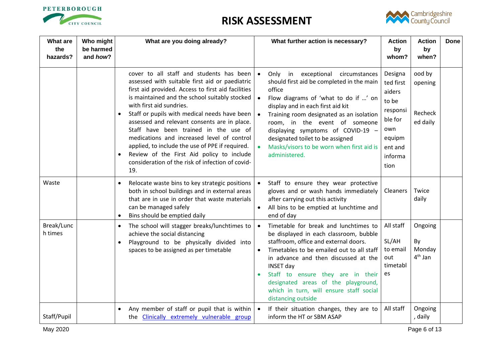



| <b>What are</b><br>the<br>hazards? | Who might<br>be harmed<br>and how? | What are you doing already?                                                                                                                                                                                                                                                                                                                                                                                                                                                                                                                                                                    | What further action is necessary?                                                                                                                                                                                                                                                                                                                                                                        | <b>Action</b><br>by<br>whom?                                                                                  | <b>Action</b><br>by<br>when?                   | <b>Done</b> |
|------------------------------------|------------------------------------|------------------------------------------------------------------------------------------------------------------------------------------------------------------------------------------------------------------------------------------------------------------------------------------------------------------------------------------------------------------------------------------------------------------------------------------------------------------------------------------------------------------------------------------------------------------------------------------------|----------------------------------------------------------------------------------------------------------------------------------------------------------------------------------------------------------------------------------------------------------------------------------------------------------------------------------------------------------------------------------------------------------|---------------------------------------------------------------------------------------------------------------|------------------------------------------------|-------------|
|                                    |                                    | cover to all staff and students has been<br>assessed with suitable first aid or paediatric<br>first aid provided. Access to first aid facilities<br>is maintained and the school suitably stocked<br>with first aid sundries.<br>Staff or pupils with medical needs have been  <br>assessed and relevant consents are in place.<br>Staff have been trained in the use of<br>medications and increased level of control<br>applied, to include the use of PPE if required.<br>Review of the First Aid policy to include<br>$\bullet$<br>consideration of the risk of infection of covid-<br>19. | Only in exceptional circumstances<br>should first aid be completed in the main<br>office<br>Flow diagrams of 'what to do if ' on<br>display and in each first aid kit<br>Training room designated as an isolation<br>room, in the event of someone<br>displaying symptoms of COVID-19 -<br>designated toilet to be assigned<br>Masks/visors to be worn when first aid is<br>administered.                | Designa<br>ted first<br>aiders<br>to be<br>responsi<br>ble for<br>own<br>equipm<br>ent and<br>informa<br>tion | ood by<br>opening<br>Recheck<br>ed daily       |             |
| Waste                              |                                    | Relocate waste bins to key strategic positions<br>$\bullet$<br>both in school buildings and in external areas<br>that are in use in order that waste materials<br>can be managed safely<br>Bins should be emptied daily<br>$\bullet$                                                                                                                                                                                                                                                                                                                                                           | Staff to ensure they wear protective<br>gloves and or wash hands immediately<br>after carrying out this activity<br>All bins to be emptied at lunchtime and<br>$\bullet$<br>end of day                                                                                                                                                                                                                   | Cleaners                                                                                                      | Twice<br>daily                                 |             |
| Break/Lunc<br>h times              |                                    | The school will stagger breaks/lunchtimes to<br>achieve the social distancing<br>Playground to be physically divided into<br>$\bullet$<br>spaces to be assigned as per timetable                                                                                                                                                                                                                                                                                                                                                                                                               | Timetable for break and lunchtimes to<br>be displayed in each classroom, bubble<br>staffroom, office and external doors.<br>Timetables to be emailed out to all staff<br>$\bullet$<br>in advance and then discussed at the<br><b>INSET day</b><br>Staff to ensure they are in their<br>$\bullet$<br>designated areas of the playground,<br>which in turn, will ensure staff social<br>distancing outside | All staff<br>SL/AH<br>to email<br>out<br>timetabl<br>es                                                       | Ongoing<br>By<br>Monday<br>4 <sup>th</sup> Jan |             |
| Staff/Pupil                        |                                    | Any member of staff or pupil that is within $\cdot$<br>the <b>Clinically extremely vulnerable group</b>                                                                                                                                                                                                                                                                                                                                                                                                                                                                                        | If their situation changes, they are to<br>inform the HT or SBM ASAP                                                                                                                                                                                                                                                                                                                                     | All staff                                                                                                     | Ongoing<br>, daily                             |             |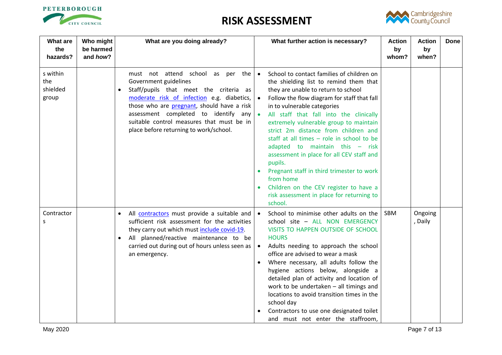



| <b>What are</b><br>the<br>hazards?   | Who might<br>be harmed<br>and how? | What are you doing already?                                                                                                                                                                                                                                                                                                                 | What further action is necessary?                                                                                                                                                                                                                                                                                                                                                                                                                                                                                                                                                                                                                                     | <b>Action</b><br>by<br>whom? | <b>Action</b><br>by<br>when? | <b>Done</b> |
|--------------------------------------|------------------------------------|---------------------------------------------------------------------------------------------------------------------------------------------------------------------------------------------------------------------------------------------------------------------------------------------------------------------------------------------|-----------------------------------------------------------------------------------------------------------------------------------------------------------------------------------------------------------------------------------------------------------------------------------------------------------------------------------------------------------------------------------------------------------------------------------------------------------------------------------------------------------------------------------------------------------------------------------------------------------------------------------------------------------------------|------------------------------|------------------------------|-------------|
| s within<br>the<br>shielded<br>group |                                    | must not attend school as per the   .<br>Government guidelines<br>Staff/pupils that meet the criteria as<br>moderate risk of infection e.g. diabetics,<br>those who are <b>pregnant</b> , should have a risk<br>assessment completed to identify any<br>suitable control measures that must be in<br>place before returning to work/school. | School to contact families of children on<br>the shielding list to remind them that<br>they are unable to return to school<br>Follow the flow diagram for staff that fall<br>in to vulnerable categories<br>All staff that fall into the clinically<br>extremely vulnerable group to maintain<br>strict 2m distance from children and<br>staff at all times $-$ role in school to be<br>adapted to maintain this - risk<br>assessment in place for all CEV staff and<br>pupils.<br>Pregnant staff in third trimester to work<br>$\bullet$<br>from home<br>Children on the CEV register to have a<br>$\bullet$<br>risk assessment in place for returning to<br>school. |                              |                              |             |
| Contractor<br>S                      |                                    | All contractors must provide a suitable and<br>$\bullet$<br>sufficient risk assessment for the activities<br>they carry out which must include covid-19.<br>All planned/reactive maintenance to be<br>carried out during out of hours unless seen as  <br>an emergency.                                                                     | School to minimise other adults on the<br>school site - ALL NON EMERGENCY<br>VISITS TO HAPPEN OUTSIDE OF SCHOOL<br><b>HOURS</b><br>Adults needing to approach the school<br>office are advised to wear a mask<br>Where necessary, all adults follow the<br>$\bullet$<br>hygiene actions below, alongside a<br>detailed plan of activity and location of<br>work to be undertaken - all timings and<br>locations to avoid transition times in the<br>school day<br>Contractors to use one designated toilet<br>and must not enter the staffroom,                                                                                                                       | <b>SBM</b>                   | Ongoing<br>, Daily           |             |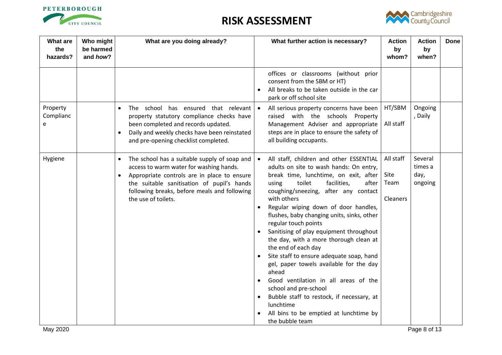



| <b>What are</b><br>the<br>hazards? | Who might<br>be harmed<br>and how? | What are you doing already?                                                                                                                                                                                                                                                  | What further action is necessary?                                                                                                                                                                                                                                                                                                                                                                                                                                                                                                                                                                                                                                                                                                                                                                   | <b>Action</b><br>by<br>whom?                 | <b>Action</b><br>by<br>when?          | <b>Done</b> |
|------------------------------------|------------------------------------|------------------------------------------------------------------------------------------------------------------------------------------------------------------------------------------------------------------------------------------------------------------------------|-----------------------------------------------------------------------------------------------------------------------------------------------------------------------------------------------------------------------------------------------------------------------------------------------------------------------------------------------------------------------------------------------------------------------------------------------------------------------------------------------------------------------------------------------------------------------------------------------------------------------------------------------------------------------------------------------------------------------------------------------------------------------------------------------------|----------------------------------------------|---------------------------------------|-------------|
|                                    |                                    |                                                                                                                                                                                                                                                                              | offices or classrooms (without prior<br>consent from the SBM or HT)<br>All breaks to be taken outside in the car<br>$\bullet$<br>park or off school site                                                                                                                                                                                                                                                                                                                                                                                                                                                                                                                                                                                                                                            |                                              |                                       |             |
| Property<br>Complianc<br>e         |                                    | The school has ensured that relevant<br>$\bullet$<br>property statutory compliance checks have<br>been completed and records updated.<br>Daily and weekly checks have been reinstated<br>and pre-opening checklist completed.                                                | All serious property concerns have been<br>raised with the schools Property<br>Management Adviser and appropriate<br>steps are in place to ensure the safety of<br>all building occupants.                                                                                                                                                                                                                                                                                                                                                                                                                                                                                                                                                                                                          | HT/SBM<br>All staff                          | Ongoing<br>, Daily                    |             |
| Hygiene                            |                                    | The school has a suitable supply of soap and $ $<br>$\bullet$<br>access to warm water for washing hands.<br>Appropriate controls are in place to ensure<br>the suitable sanitisation of pupil's hands<br>following breaks, before meals and following<br>the use of toilets. | All staff, children and other ESSENTIAL<br>adults on site to wash hands: On entry,<br>break time, lunchtime, on exit, after<br>facilities,<br>after<br>toilet<br>using<br>coughing/sneezing, after any contact<br>with others<br>Regular wiping down of door handles,<br>$\bullet$<br>flushes, baby changing units, sinks, other<br>regular touch points<br>Sanitising of play equipment throughout<br>$\bullet$<br>the day, with a more thorough clean at<br>the end of each day<br>Site staff to ensure adequate soap, hand<br>gel, paper towels available for the day<br>ahead<br>Good ventilation in all areas of the<br>school and pre-school<br>Bubble staff to restock, if necessary, at<br>$\bullet$<br>lunchtime<br>All bins to be emptied at lunchtime by<br>$\bullet$<br>the bubble team | All staff<br>Site<br>Team<br><b>Cleaners</b> | Several<br>times a<br>day,<br>ongoing |             |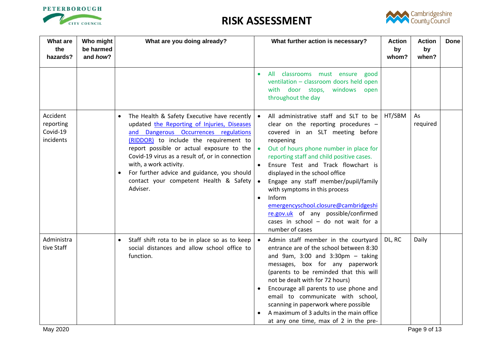



| What are<br>the<br>hazards?                    | Who might<br>be harmed<br>and how? | What are you doing already?                                                                                                                                                                                                                                                                                                                                                                                  |                                               | What further action is necessary?                                                                                                                                                                                                                                                                                                                                                                                                                                                                    | <b>Action</b><br>by<br>whom? | <b>Action</b><br>by<br>when? | <b>Done</b> |
|------------------------------------------------|------------------------------------|--------------------------------------------------------------------------------------------------------------------------------------------------------------------------------------------------------------------------------------------------------------------------------------------------------------------------------------------------------------------------------------------------------------|-----------------------------------------------|------------------------------------------------------------------------------------------------------------------------------------------------------------------------------------------------------------------------------------------------------------------------------------------------------------------------------------------------------------------------------------------------------------------------------------------------------------------------------------------------------|------------------------------|------------------------------|-------------|
|                                                |                                    |                                                                                                                                                                                                                                                                                                                                                                                                              | $\bullet$                                     | All classrooms must ensure good<br>ventilation - classroom doors held open<br>with door stops, windows open<br>throughout the day                                                                                                                                                                                                                                                                                                                                                                    |                              |                              |             |
| Accident<br>reporting<br>Covid-19<br>incidents |                                    | The Health & Safety Executive have recently<br>updated the Reporting of Injuries, Diseases<br>and Dangerous Occurrences regulations<br>(RIDDOR) to include the requirement to<br>report possible or actual exposure to the<br>Covid-19 virus as a result of, or in connection<br>with, a work activity.<br>For further advice and guidance, you should<br>contact your competent Health & Safety<br>Adviser. | reopening<br>$\bullet$<br>Inform<br>$\bullet$ | All administrative staff and SLT to be<br>clear on the reporting procedures -<br>covered in an SLT meeting before<br>Out of hours phone number in place for<br>reporting staff and child positive cases.<br>Ensure Test and Track flowchart is<br>displayed in the school office<br>Engage any staff member/pupil/family<br>with symptoms in this process<br>emergencyschool.closure@cambridgeshi<br>re.gov.uk of any possible/confirmed<br>cases in school $-$ do not wait for a<br>number of cases | HT/SBM                       | As<br>required               |             |
| Administra<br>tive Staff                       |                                    | Staff shift rota to be in place so as to keep $\vert \bullet \vert$<br>social distances and allow school office to<br>function.                                                                                                                                                                                                                                                                              | $\bullet$                                     | Admin staff member in the courtyard<br>entrance are of the school between 8:30<br>and 9am, $3:00$ and $3:30$ pm - taking<br>messages, box for any paperwork<br>(parents to be reminded that this will<br>not be dealt with for 72 hours)<br>Encourage all parents to use phone and<br>email to communicate with school,<br>scanning in paperwork where possible<br>A maximum of 3 adults in the main office<br>at any one time, max of 2 in the pre-                                                 | DL, RC                       | Daily                        |             |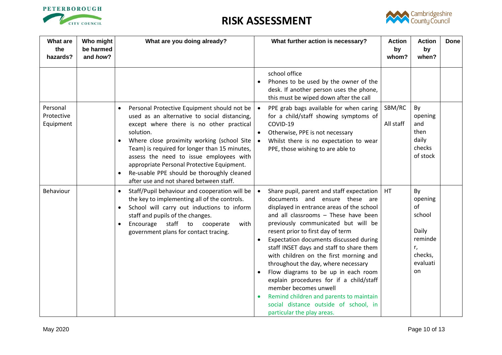



| What are<br>the<br>hazards?         | Who might<br>be harmed<br>and how? | What are you doing already?                                                                                                                                                                                                                                                                                                                                                                                                                        | What further action is necessary?<br><b>Action</b><br><b>Action</b><br>by<br>by<br>whom?<br>when?                                                                                                                                                                                                                                                                                                                                                                                                                                                                                                                                                                                                                                                                  | <b>Done</b> |
|-------------------------------------|------------------------------------|----------------------------------------------------------------------------------------------------------------------------------------------------------------------------------------------------------------------------------------------------------------------------------------------------------------------------------------------------------------------------------------------------------------------------------------------------|--------------------------------------------------------------------------------------------------------------------------------------------------------------------------------------------------------------------------------------------------------------------------------------------------------------------------------------------------------------------------------------------------------------------------------------------------------------------------------------------------------------------------------------------------------------------------------------------------------------------------------------------------------------------------------------------------------------------------------------------------------------------|-------------|
|                                     |                                    |                                                                                                                                                                                                                                                                                                                                                                                                                                                    | school office<br>Phones to be used by the owner of the<br>$\bullet$<br>desk. If another person uses the phone,<br>this must be wiped down after the call                                                                                                                                                                                                                                                                                                                                                                                                                                                                                                                                                                                                           |             |
| Personal<br>Protective<br>Equipment |                                    | Personal Protective Equipment should not be<br>used as an alternative to social distancing,<br>except where there is no other practical<br>solution.<br>Where close proximity working (school Site<br>Team) is required for longer than 15 minutes,<br>assess the need to issue employees with<br>appropriate Personal Protective Equipment.<br>Re-usable PPE should be thoroughly cleaned<br>$\bullet$<br>after use and not shared between staff. | SBM/RC<br>By<br>PPE grab bags available for when caring<br>for a child/staff showing symptoms of<br>opening<br>COVID-19<br>and<br>All staff<br>then<br>Otherwise, PPE is not necessary<br>$\bullet$<br>daily<br>Whilst there is no expectation to wear<br>$\bullet$<br>checks<br>PPE, those wishing to are able to<br>of stock                                                                                                                                                                                                                                                                                                                                                                                                                                     |             |
| <b>Behaviour</b>                    |                                    | Staff/Pupil behaviour and cooperation will be<br>the key to implementing all of the controls.<br>School will carry out inductions to inform<br>staff and pupils of the changes.<br>Encourage<br>staff to<br>cooperate<br>with<br>government plans for contact tracing.                                                                                                                                                                             | <b>HT</b><br>Share pupil, parent and staff expectation<br>By<br>documents and ensure these are<br>opening<br>of<br>displayed in entrance areas of the school<br>school<br>and all classrooms - These have been<br>previously communicated but will be<br>Daily<br>resent prior to first day of term<br>reminde<br>Expectation documents discussed during<br>staff INSET days and staff to share them<br>r,<br>checks,<br>with children on the first morning and<br>evaluati<br>throughout the day, where necessary<br>on<br>Flow diagrams to be up in each room<br>explain procedures for if a child/staff<br>member becomes unwell<br>Remind children and parents to maintain<br>$\bullet$<br>social distance outside of school, in<br>particular the play areas. |             |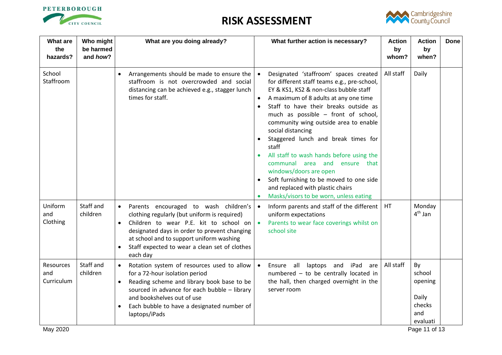



| the<br>hazards?                | be harmed<br>and how? | What are you doing already?                                                                                                                                                                                                                                                                                                  | What further action is necessary?                                                                                                                                                                                                                                                                                                                                                                                                                                                                                                                                                                                                  | <b>Action</b><br>by<br>whom? | <b>Action</b><br>by<br>when?                                  | <b>Done</b> |
|--------------------------------|-----------------------|------------------------------------------------------------------------------------------------------------------------------------------------------------------------------------------------------------------------------------------------------------------------------------------------------------------------------|------------------------------------------------------------------------------------------------------------------------------------------------------------------------------------------------------------------------------------------------------------------------------------------------------------------------------------------------------------------------------------------------------------------------------------------------------------------------------------------------------------------------------------------------------------------------------------------------------------------------------------|------------------------------|---------------------------------------------------------------|-------------|
| School<br>Staffroom            |                       | Arrangements should be made to ensure the<br>$\bullet$<br>staffroom is not overcrowded and social<br>distancing can be achieved e.g., stagger lunch<br>times for staff.                                                                                                                                                      | Designated 'staffroom' spaces created<br>for different staff teams e.g., pre-school,<br>EY & KS1, KS2 & non-class bubble staff<br>A maximum of 8 adults at any one time<br>Staff to have their breaks outside as<br>$\bullet$<br>much as possible - front of school,<br>community wing outside area to enable<br>social distancing<br>Staggered lunch and break times for<br>staff<br>All staff to wash hands before using the<br>communal area and<br>ensure that<br>windows/doors are open<br>Soft furnishing to be moved to one side<br>$\bullet$<br>and replaced with plastic chairs<br>Masks/visors to be worn, unless eating | All staff                    | Daily                                                         |             |
| Uniform<br>and<br>Clothing     | Staff and<br>children | Parents encouraged to wash children's<br>$\bullet$<br>clothing regularly (but uniform is required)<br>Children to wear P.E. kit to school on $\bullet$<br>$\bullet$<br>designated days in order to prevent changing<br>at school and to support uniform washing<br>Staff expected to wear a clean set of clothes<br>each day | Inform parents and staff of the different<br>$\bullet$<br>uniform expectations<br>Parents to wear face coverings whilst on<br>school site                                                                                                                                                                                                                                                                                                                                                                                                                                                                                          | HT                           | Monday<br>4 <sup>th</sup> Jan                                 |             |
| Resources<br>and<br>Curriculum | Staff and<br>children | Rotation system of resources used to allow<br>for a 72-hour isolation period<br>Reading scheme and library book base to be<br>sourced in advance for each bubble - library<br>and bookshelves out of use<br>Each bubble to have a designated number of<br>$\bullet$<br>laptops/iPads                                         | Ensure all laptops and iPad<br>are<br>numbered - to be centrally located in<br>the hall, then charged overnight in the<br>server room                                                                                                                                                                                                                                                                                                                                                                                                                                                                                              | All staff                    | By<br>school<br>opening<br>Daily<br>checks<br>and<br>evaluati |             |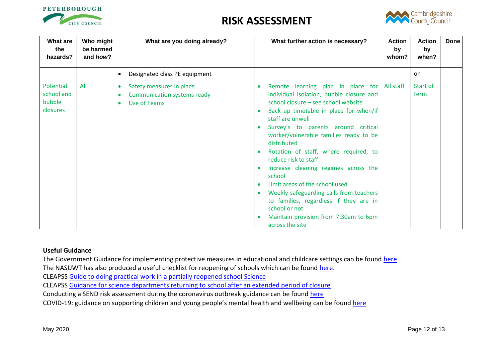



| What are<br>the<br>hazards?                   | Who might<br>be harmed<br>and how? | What are you doing already?                                                                              | What further action is necessary?<br><b>Action</b><br>by<br>whom?                                                                                                                                                                                                                                                                                                                                                                                                                                                                                                                                                                                             | <b>Action</b><br>by<br>when? | Done |
|-----------------------------------------------|------------------------------------|----------------------------------------------------------------------------------------------------------|---------------------------------------------------------------------------------------------------------------------------------------------------------------------------------------------------------------------------------------------------------------------------------------------------------------------------------------------------------------------------------------------------------------------------------------------------------------------------------------------------------------------------------------------------------------------------------------------------------------------------------------------------------------|------------------------------|------|
|                                               |                                    | Designated class PE equipment                                                                            |                                                                                                                                                                                                                                                                                                                                                                                                                                                                                                                                                                                                                                                               | on.                          |      |
| Potential<br>school and<br>bubble<br>closures | All                                | Safety measures in place<br>$\bullet$<br><b>Communication systems ready</b><br>$\bullet$<br>Use of Teams | All staff<br>Remote learning plan in place for<br>$\bullet$<br>individual isolation, bubble closure and<br>school closure - see school website<br>Back up timetable in place for when/if<br>staff are unwell<br>Survey's to parents around critical<br>worker/vulnerable families ready to be<br>distributed<br>Rotation of staff, where required, to<br>$\bullet$<br>reduce risk to staff<br>Increase cleaning regimes across the<br>school<br>Limit areas of the school used<br>$\bullet$<br>Weekly safeguarding calls from teachers<br>to families, regardless if they are in<br>school or not<br>Maintain provision from 7:30am to 6pm<br>across the site | Start of<br>term             |      |

#### **Useful Guidance**

The Government Guidance for implementing protective measures in educational and childcare settings can be found [here](https://www.gov.uk/government/publications/coronavirus-covid-19-implementing-protective-measures-in-education-and-childcare-settings/coronavirus-covid-19-implementing-protective-measures-in-education-and-childcare-settings#class-or-group-sizes) The NASUWT has also produced a useful checklist for reopening of schools which can be found [here.](https://www.nasuwt.org.uk/uploads/assets/uploaded/d8b46e47-fa23-466c-af6e4d55e3022efd.pdf) CLEAPSS [Guide to doing practical work in a partially reopened school Science](https://public.huddle.com/a/lrVPERK/index.html) CLEAPSS [Guidance for science departments returning to school after an extended period of closure](https://public.huddle.com/a/VdRjYeV/index.html) Conducting a SEND risk assessment during the coronavirus outbreak guidance can be found [here](https://www.gov.uk/government/publications/coronavirus-covid-19-send-risk-assessment-guidance) COVID-19: guidance on supporting children and young people's mental health and wellbeing can be found [here](https://www.gov.uk/government/publications/covid-19-guidance-on-supporting-children-and-young-peoples-mental-health-and-wellbeing)